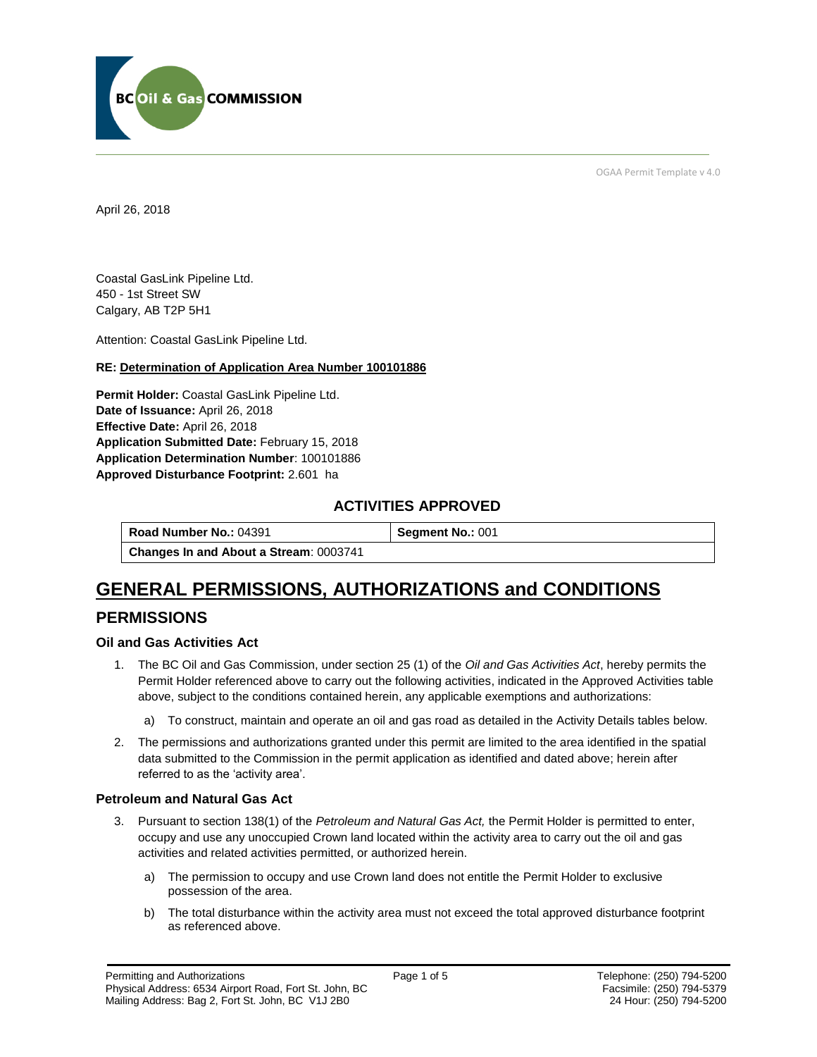

OGAA Permit Template v 4.0

April 26, 2018

Coastal GasLink Pipeline Ltd. 450 - 1st Street SW Calgary, AB T2P 5H1

[Attention:](#page-0-0) Coastal GasLink Pipeline Ltd.

#### **RE: Determination of Application Area Number 100101886**

**[Permit Holder:](#page-0-0)** Coastal GasLink Pipeline Ltd. **[Date of Issuance:](#page-0-0)** April 26, 2018 **[Effective Date:](#page-0-1)** April 26, 2018 **[Application Submitted Date:](#page-0-0)** February 15, 2018 **[Application Determination Number](#page-0-0)**: 100101886 **Approved Disturbance Footprint:** 2.601 ha

## **ACTIVITIES APPROVED**

**[Road Number No.:](#page-0-0) 04391 <b>[Segment No.:](https://bi.bcogc.ca/Application%20Processing/Interactive%20Reports/(BIL-041)%20AMS%20Decision%20Summary.aspx) 001 [Changes In and About a Stream](#page-0-0)**: 0003741

## **GENERAL PERMISSIONS, AUTHORIZATIONS and CONDITIONS**

## **PERMISSIONS**

#### **Oil and Gas Activities Act**

- <span id="page-0-0"></span>1. The BC Oil and Gas Commission, under section 25 (1) of the *Oil and Gas Activities Act*, hereby permits the Permit Holder referenced above to carry out the following activities, indicated in the Approved Activities table above, subject to the conditions contained herein, any applicable exemptions and authorizations:
	- a) To construct, maintain and operate an oil and gas road as detailed in the Activity Details tables below.
- <span id="page-0-1"></span>2. The permissions and authorizations granted under this permit are limited to the area identified in the spatial data submitted to the Commission in the permit application as identified and dated above; herein after referred to as the 'activity area'.

#### **Petroleum and Natural Gas Act**

- 3. Pursuant to section 138(1) of the *Petroleum and Natural Gas Act,* the Permit Holder is permitted to enter, occupy and use any unoccupied Crown land located within the activity area to carry out the oil and gas activities and related activities permitted, or authorized herein.
	- a) The permission to occupy and use Crown land does not entitle the Permit Holder to exclusive possession of the area.
	- b) The total disturbance within the activity area must not exceed the total approved disturbance footprint as referenced above.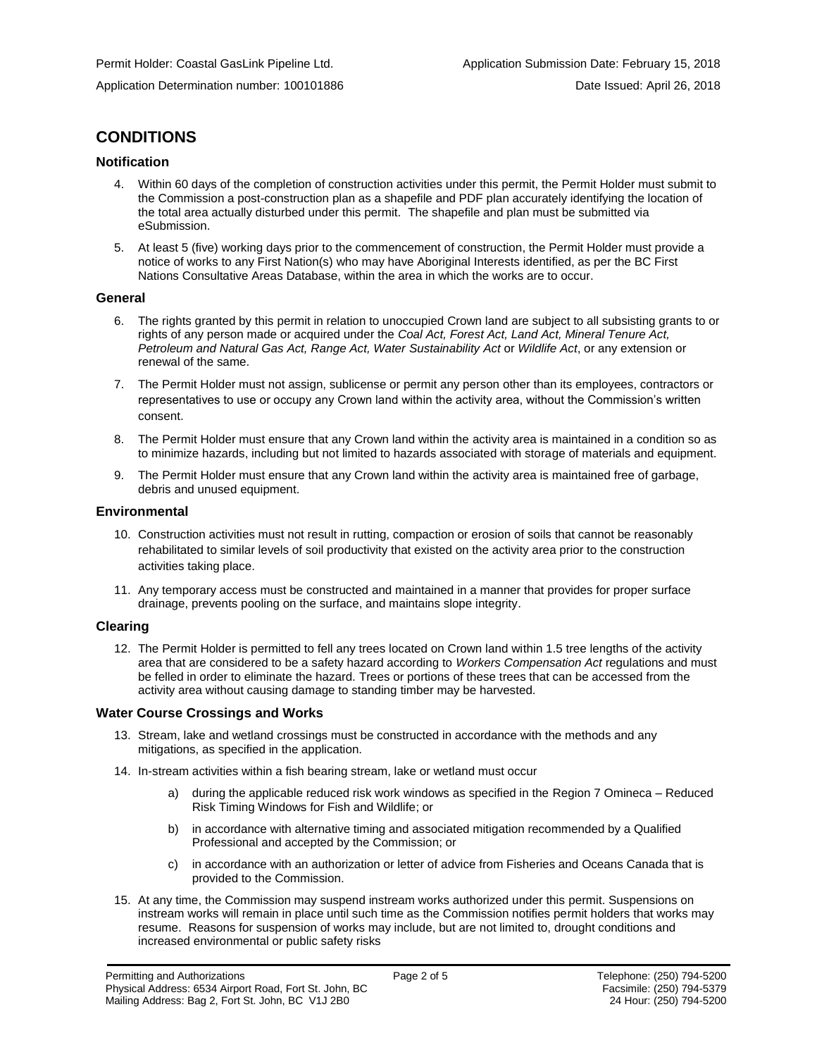## **CONDITIONS**

#### **Notification**

- 4. Within 60 days of the completion of construction activities under this permit, the Permit Holder must submit to the Commission a post-construction plan as a shapefile and PDF plan accurately identifying the location of the total area actually disturbed under this permit. The shapefile and plan must be submitted via eSubmission.
- 5. At least 5 (five) working days prior to the commencement of construction, the Permit Holder must provide a notice of works to any First Nation(s) who may have Aboriginal Interests identified, as per the BC First Nations Consultative Areas Database, within the area in which the works are to occur.

#### **General**

- 6. The rights granted by this permit in relation to unoccupied Crown land are subject to all subsisting grants to or rights of any person made or acquired under the *Coal Act, Forest Act, Land Act, Mineral Tenure Act, Petroleum and Natural Gas Act, Range Act, Water Sustainability Act* or *Wildlife Act*, or any extension or renewal of the same.
- 7. The Permit Holder must not assign, sublicense or permit any person other than its employees, contractors or representatives to use or occupy any Crown land within the activity area, without the Commission's written consent.
- 8. The Permit Holder must ensure that any Crown land within the activity area is maintained in a condition so as to minimize hazards, including but not limited to hazards associated with storage of materials and equipment.
- 9. The Permit Holder must ensure that any Crown land within the activity area is maintained free of garbage, debris and unused equipment.

#### **Environmental**

- 10. Construction activities must not result in rutting, compaction or erosion of soils that cannot be reasonably rehabilitated to similar levels of soil productivity that existed on the activity area prior to the construction activities taking place.
- 11. Any temporary access must be constructed and maintained in a manner that provides for proper surface drainage, prevents pooling on the surface, and maintains slope integrity.

#### **Clearing**

12. The Permit Holder is permitted to fell any trees located on Crown land within 1.5 tree lengths of the activity area that are considered to be a safety hazard according to *Workers Compensation Act* regulations and must be felled in order to eliminate the hazard. Trees or portions of these trees that can be accessed from the activity area without causing damage to standing timber may be harvested.

#### **Water Course Crossings and Works**

- 13. Stream, lake and wetland crossings must be constructed in accordance with the methods and any mitigations, as specified in the application.
- 14. In-stream activities within a fish bearing stream, lake or wetland must occur
	- [during the applicable reduced risk work windows as specified in the](#page-0-0) Region 7 Omineca Reduced Risk Timing Windows for Fish and Wildlife; or
	- b) in accordance with alternative timing and associated mitigation recommended by a Qualified Professional and accepted by the Commission; or
	- c) in accordance with an authorization or letter of advice from Fisheries and Oceans Canada that is provided to the Commission.
- 15. At any time, the Commission may suspend instream works authorized under this permit. Suspensions on instream works will remain in place until such time as the Commission notifies permit holders that works may resume. Reasons for suspension of works may include, but are not limited to, drought conditions and increased environmental or public safety risks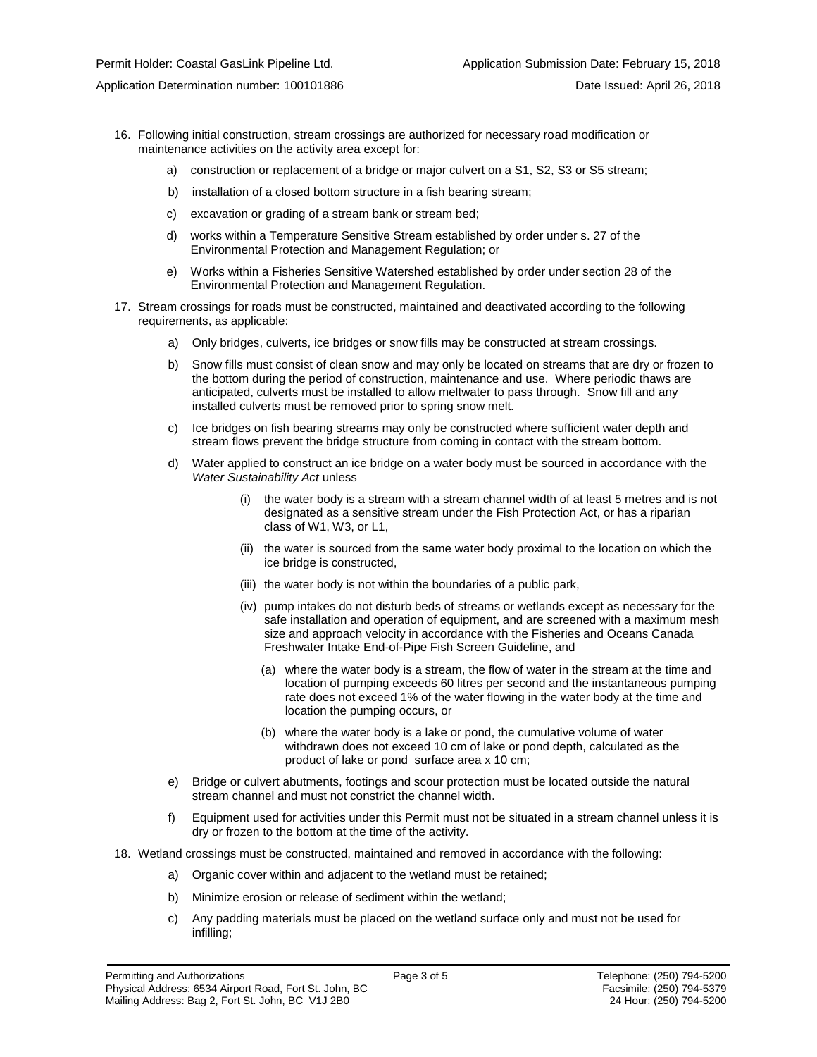- 16. Following initial construction, stream crossings are authorized for necessary road modification or maintenance activities on the activity area except for:
	- a) construction or replacement of a bridge or major culvert on a S1, S2, S3 or S5 stream;
	- b) installation of a closed bottom structure in a fish bearing stream;
	- c) excavation or grading of a stream bank or stream bed;
	- d) works within a Temperature Sensitive Stream established by order under s. 27 of the Environmental Protection and Management Regulation; or
	- e) Works within a Fisheries Sensitive Watershed established by order under section 28 of the Environmental Protection and Management Regulation.
- 17. Stream crossings for roads must be constructed, maintained and deactivated according to the following requirements, as applicable:
	- a) Only bridges, culverts, ice bridges or snow fills may be constructed at stream crossings.
	- b) Snow fills must consist of clean snow and may only be located on streams that are dry or frozen to the bottom during the period of construction, maintenance and use. Where periodic thaws are anticipated, culverts must be installed to allow meltwater to pass through. Snow fill and any installed culverts must be removed prior to spring snow melt.
	- c) Ice bridges on fish bearing streams may only be constructed where sufficient water depth and stream flows prevent the bridge structure from coming in contact with the stream bottom.
	- d) Water applied to construct an ice bridge on a water body must be sourced in accordance with the *Water Sustainability Act* unless
		- (i) the water body is a stream with a stream channel width of at least 5 metres and is not designated as a sensitive stream under the Fish Protection Act, or has a riparian class of W1, W3, or L1,
		- (ii) the water is sourced from the same water body proximal to the location on which the ice bridge is constructed,
		- (iii) the water body is not within the boundaries of a public park,
		- (iv) pump intakes do not disturb beds of streams or wetlands except as necessary for the safe installation and operation of equipment, and are screened with a maximum mesh size and approach velocity in accordance with the Fisheries and Oceans Canada Freshwater Intake End-of-Pipe Fish Screen Guideline, and
			- (a) where the water body is a stream, the flow of water in the stream at the time and location of pumping exceeds 60 litres per second and the instantaneous pumping rate does not exceed 1% of the water flowing in the water body at the time and location the pumping occurs, or
			- (b) where the water body is a lake or pond, the cumulative volume of water withdrawn does not exceed 10 cm of lake or pond depth, calculated as the product of lake or pond surface area x 10 cm;
	- e) Bridge or culvert abutments, footings and scour protection must be located outside the natural stream channel and must not constrict the channel width.
	- f) Equipment used for activities under this Permit must not be situated in a stream channel unless it is dry or frozen to the bottom at the time of the activity.
- 18. Wetland crossings must be constructed, maintained and removed in accordance with the following:
	- a) Organic cover within and adjacent to the wetland must be retained;
	- b) Minimize erosion or release of sediment within the wetland;
	- c) Any padding materials must be placed on the wetland surface only and must not be used for infilling;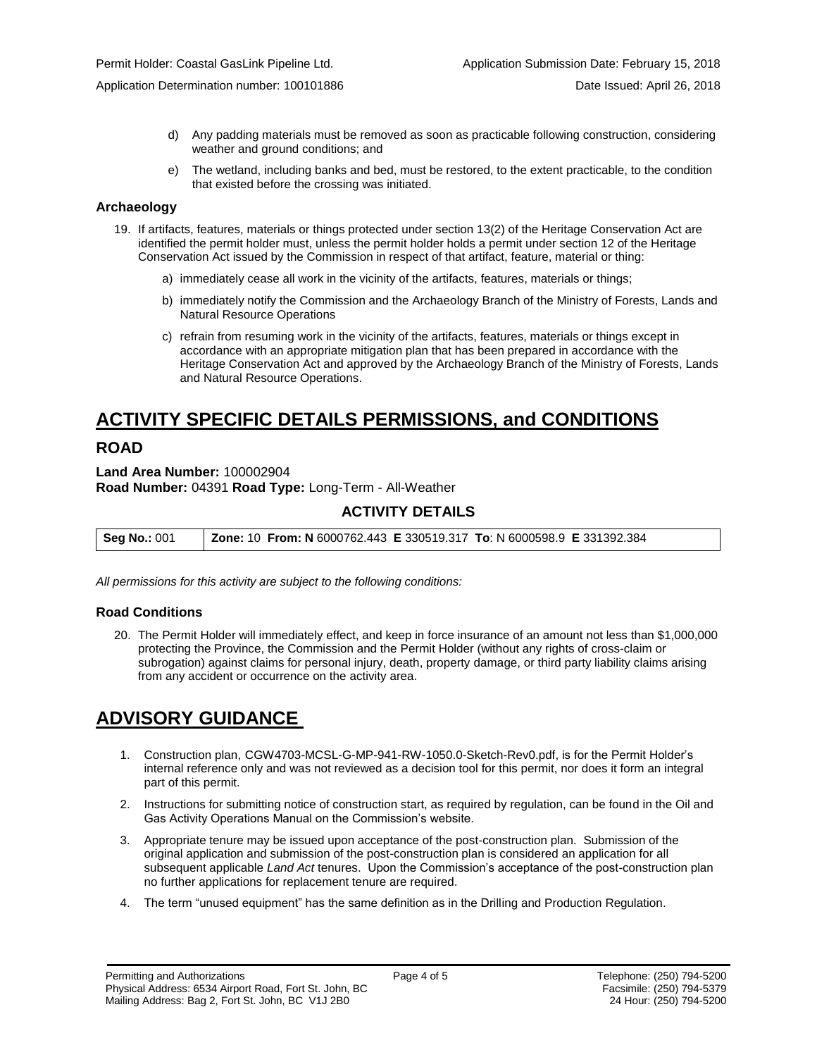Application Determination number: 100101886 Date Issued: April 26, 2018

- d) Any padding materials must be removed as soon as practicable following construction, considering weather and ground conditions; and
- e) The wetland, including banks and bed, must be restored, to the extent practicable, to the condition that existed before the crossing was initiated.

#### **Archaeology**

- 19. If artifacts, features, materials or things protected under section 13(2) of the Heritage Conservation Act are identified the permit holder must, unless the permit holder holds a permit under section 12 of the Heritage Conservation Act issued by the Commission in respect of that artifact, feature, material or thing:
	- a) immediately cease all work in the vicinity of the artifacts, features, materials or things;
	- b) immediately notify the Commission and the Archaeology Branch of the Ministry of Forests, Lands and Natural Resource Operations
	- c) refrain from resuming work in the vicinity of the artifacts, features, materials or things except in accordance with an appropriate mitigation plan that has been prepared in accordance with the Heritage Conservation Act and approved by the Archaeology Branch of the Ministry of Forests, Lands and Natural Resource Operations.

# **ACTIVITY SPECIFIC DETAILS PERMISSIONS, and CONDITIONS**

## **ROAD**

**Land Area Number:** 100002904 **Road Number:** 04391 **Road Type:** Long-Term - All-Weather

## **ACTIVITY DETAILS**

**Seg No.:** 001 **Zone:** 10 **From: N** 6000762.443 **E** 330519.317 **To**: N 6000598.9 **E** 331392.384

*All permissions for this activity are subject to the following conditions:*

#### **Road Conditions**

20. The Permit Holder will immediately effect, and keep in force insurance of an amount not less than \$1,000,000 protecting the Province, the Commission and the Permit Holder (without any rights of cross-claim or subrogation) against claims for personal injury, death, property damage, or third party liability claims arising from any accident or occurrence on the activity area.

## **ADVISORY GUIDANCE**

- 1. Construction plan, CGW4703-MCSL-G-MP-941-RW-1050.0-Sketch-Rev0.pdf, is for the Permit Holder's internal reference only and was not reviewed as a decision tool for this permit, nor does it form an integral part of this permit.
- 2. Instructions for submitting notice of construction start, as required by regulation, can be found in the Oil and Gas Activity Operations Manual on the Commission's website.
- 3. Appropriate tenure may be issued upon acceptance of the post-construction plan. Submission of the original application and submission of the post-construction plan is considered an application for all subsequent applicable *Land Act* tenures. Upon the Commission's acceptance of the post-construction plan no further applications for replacement tenure are required.
- 4. The term "unused equipment" has the same definition as in the Drilling and Production Regulation.